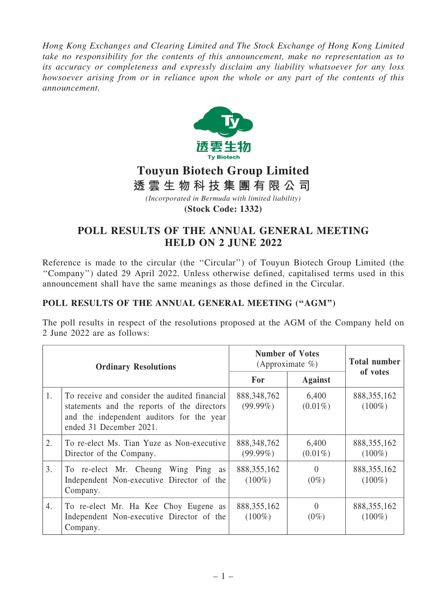*Hong Kong Exchanges and Clearing Limited and The Stock Exchange of Hong Kong Limited take no responsibility for the contents of this announcement, make no representation as to its accuracy or completeness and expressly disclaim any liability whatsoever for any loss howsoever arising from or in reliance upon the whole or any part of the contents of this announcement.*



## **Touyun Biotech Group Limited**

**透 雲 生 物 科 技 集 團 有 限 公 司**

*(Incorporated in Bermuda with limited liability)*

**(Stock Code: 1332)**

## POLL RESULTS OF THE ANNUAL GENERAL MEETING HELD ON 2 JUNE 2022

Reference is made to the circular (the "Circular") of Touyun Biotech Group Limited (the ''Company'') dated 29 April 2022. Unless otherwise defined, capitalised terms used in this announcement shall have the same meanings as those defined in the Circular.

## POLL RESULTS OF THE ANNUAL GENERAL MEETING ("AGM")

The poll results in respect of the resolutions proposed at the AGM of the Company held on 2 June 2022 are as follows:

| <b>Ordinary Resolutions</b> |                                                                                                                                                                      | <b>Number of Votes</b><br>(Approximate $\%$ ) |                     | <b>Total number</b>        |
|-----------------------------|----------------------------------------------------------------------------------------------------------------------------------------------------------------------|-----------------------------------------------|---------------------|----------------------------|
|                             |                                                                                                                                                                      | <b>For</b>                                    | <b>Against</b>      | of votes                   |
| 1.                          | To receive and consider the audited financial<br>statements and the reports of the directors<br>and the independent auditors for the year<br>ended 31 December 2021. | 888, 348, 762<br>$(99.99\%)$                  | 6,400<br>$(0.01\%)$ | 888, 355, 162<br>$(100\%)$ |
| 2.                          | To re-elect Ms. Tian Yuze as Non-executive<br>Director of the Company.                                                                                               | 888, 348, 762<br>$(99.99\%)$                  | 6,400<br>$(0.01\%)$ | 888, 355, 162<br>$(100\%)$ |
| 3.                          | To re-elect Mr. Cheung Wing Ping as<br>Independent Non-executive Director of the<br>Company.                                                                         | 888, 355, 162<br>$(100\%)$                    | $\Omega$<br>$(0\%)$ | 888, 355, 162<br>$(100\%)$ |
| 4.                          | To re-elect Mr. Ha Kee Choy Eugene as<br>Independent Non-executive Director of the<br>Company.                                                                       | 888, 355, 162<br>$(100\%)$                    | $\Omega$<br>$(0\%)$ | 888, 355, 162<br>$(100\%)$ |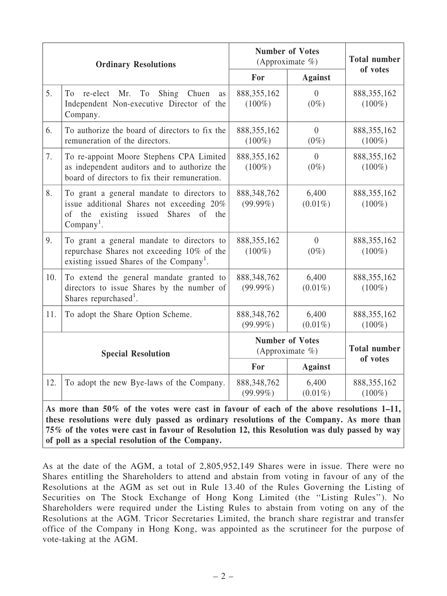| <b>Ordinary Resolutions</b> |                                                                                                                                                       | <b>Number of Votes</b><br>(Approximate $\%$ ) |                           | <b>Total number</b>             |  |  |
|-----------------------------|-------------------------------------------------------------------------------------------------------------------------------------------------------|-----------------------------------------------|---------------------------|---------------------------------|--|--|
|                             |                                                                                                                                                       | For                                           | <b>Against</b>            | of votes                        |  |  |
| 5.                          | Mr.<br>Shing<br>Chuen<br>To<br>re-elect<br>T <sub>o</sub><br><b>as</b><br>Independent Non-executive Director of the<br>Company.                       | 888, 355, 162<br>$(100\%)$                    | $\overline{0}$<br>$(0\%)$ | 888, 355, 162<br>$(100\%)$      |  |  |
| 6.                          | To authorize the board of directors to fix the<br>remuneration of the directors.                                                                      | 888, 355, 162<br>$(100\%)$                    | $\overline{0}$<br>$(0\%)$ | 888, 355, 162<br>$(100\%)$      |  |  |
| 7.                          | To re-appoint Moore Stephens CPA Limited<br>as independent auditors and to authorize the<br>board of directors to fix their remuneration.             | 888, 355, 162<br>$(100\%)$                    | $\overline{0}$<br>$(0\%)$ | 888, 355, 162<br>$(100\%)$      |  |  |
| 8.                          | To grant a general mandate to directors to<br>issue additional Shares not exceeding 20%<br>of the existing issued Shares<br>of<br>the<br>$Company1$ . | 888, 348, 762<br>$(99.99\%)$                  | 6,400<br>$(0.01\%)$       | 888, 355, 162<br>$(100\%)$      |  |  |
| 9.                          | To grant a general mandate to directors to<br>repurchase Shares not exceeding 10% of the<br>existing issued Shares of the Company <sup>1</sup> .      | 888, 355, 162<br>$(100\%)$                    | $\overline{0}$<br>$(0\%)$ | 888, 355, 162<br>$(100\%)$      |  |  |
| 10.                         | To extend the general mandate granted to<br>directors to issue Shares by the number of<br>Shares repurchased <sup>1</sup> .                           | 888, 348, 762<br>$(99.99\%)$                  | 6,400<br>$(0.01\%)$       | 888, 355, 162<br>$(100\%)$      |  |  |
| 11.                         | To adopt the Share Option Scheme.                                                                                                                     | 888, 348, 762<br>$(99.99\%)$                  | 6,400<br>$(0.01\%)$       | 888, 355, 162<br>$(100\%)$      |  |  |
| <b>Special Resolution</b>   |                                                                                                                                                       | <b>Number of Votes</b><br>(Approximate $\%$ ) |                           | <b>Total number</b><br>of votes |  |  |
|                             |                                                                                                                                                       | For                                           | <b>Against</b>            |                                 |  |  |
| 12.                         | To adopt the new Bye-laws of the Company.                                                                                                             | 888, 348, 762<br>$(99.99\%)$                  | 6,400<br>$(0.01\%)$       | 888, 355, 162<br>$(100\%)$      |  |  |
|                             | As more than 50% of the votes were cast in favour of each of the above resolutions 1-11,                                                              |                                               |                           |                                 |  |  |

these resolutions were duly passed as ordinary resolutions of the Company. As more than 75% of the votes were cast in favour of Resolution 12, this Resolution was duly passed by way of poll as a special resolution of the Company.

As at the date of the AGM, a total of 2,805,952,149 Shares were in issue. There were no Shares entitling the Shareholders to attend and abstain from voting in favour of any of the Resolutions at the AGM as set out in Rule 13.40 of the Rules Governing the Listing of Securities on The Stock Exchange of Hong Kong Limited (the ''Listing Rules''). No Shareholders were required under the Listing Rules to abstain from voting on any of the Resolutions at the AGM. Tricor Secretaries Limited, the branch share registrar and transfer office of the Company in Hong Kong, was appointed as the scrutineer for the purpose of vote-taking at the AGM.